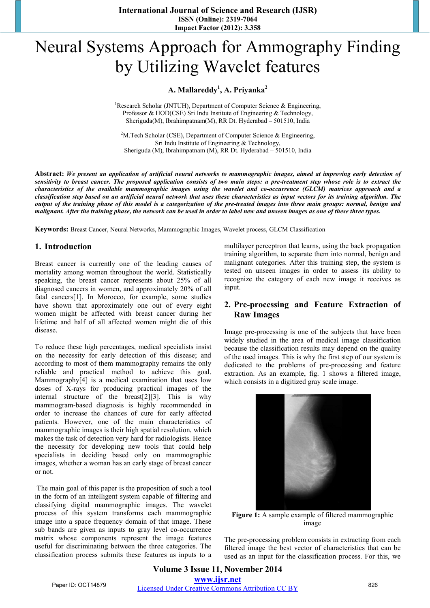**International Journal of Science and Research (IJSR) ISSN (Online): 2319-7064 Impact Factor (2012): 3.358** 

# Neural Systems Approach for Ammography Finding by Utilizing Wavelet features

## **A. Mallareddy<sup>1</sup> , A. Priyanka<sup>2</sup>**

<sup>1</sup>Research Scholar (JNTUH), Department of Computer Science & Engineering, Professor & HOD(CSE) Sri Indu Institute of Engineering & Technology, Sheriguda(M), Ibrahimpatnam(M), RR Dt. Hyderabad – 501510, India

<sup>2</sup>M. Tech Scholar (CSE), Department of Computer Science & Engineering, Sri Indu Institute of Engineering & Technology, Sheriguda (M), Ibrahimpatnam (M), RR Dt. Hyderabad – 501510, India

**Abstract:** *We present an application of artificial neural networks to mammographic images, aimed at improving early detection of sensitivity to breast cancer. The proposed application consists of two main steps: a pre-treatment step whose role is to extract the characteristics of the available mammographic images using the wavelet and co-occurrence (GLCM) matrices approach and a classification step based on an artificial neural network that uses these characteristics as input vectors for its training algorithm. The output of the training phase of this model is a categorization of the pre-treated images into three main groups: normal, benign and malignant. After the training phase, the network can be used in order to label new and unseen images as one of these three types.* 

**Keywords:** Breast Cancer, Neural Networks, Mammographic Images, Wavelet process, GLCM Classification

#### **1. Introduction**

Breast cancer is currently one of the leading causes of mortality among women throughout the world. Statistically speaking, the breast cancer represents about 25% of all diagnosed cancers in women, and approximately 20% of all fatal cancers[1]. In Morocco, for example, some studies have shown that approximately one out of every eight women might be affected with breast cancer during her lifetime and half of all affected women might die of this disease.

To reduce these high percentages, medical specialists insist on the necessity for early detection of this disease; and according to most of them mammography remains the only reliable and practical method to achieve this goal. Mammography[4] is a medical examination that uses low doses of X-rays for producing practical images of the internal structure of the breast[2][3]. This is why mammogram-based diagnosis is highly recommended in order to increase the chances of cure for early affected patients. However, one of the main characteristics of mammographic images is their high spatial resolution, which makes the task of detection very hard for radiologists. Hence the necessity for developing new tools that could help specialists in deciding based only on mammographic images, whether a woman has an early stage of breast cancer or not.

 The main goal of this paper is the proposition of such a tool in the form of an intelligent system capable of filtering and classifying digital mammographic images. The wavelet process of this system transforms each mammographic image into a space frequency domain of that image. These sub bands are given as inputs to gray level co-occurrence matrix whose components represent the image features useful for discriminating between the three categories. The classification process submits these features as inputs to a multilayer perceptron that learns, using the back propagation training algorithm, to separate them into normal, benign and malignant categories. After this training step, the system is tested on unseen images in order to assess its ability to recognize the category of each new image it receives as input.

## **2. Pre-processing and Feature Extraction of Raw Images**

Image pre-processing is one of the subjects that have been widely studied in the area of medical image classification because the classification results may depend on the quality of the used images. This is why the first step of our system is dedicated to the problems of pre-processing and feature extraction. As an example, fig. 1 shows a filtered image, which consists in a digitized gray scale image.



**Figure 1:** A sample example of filtered mammographic image

The pre-processing problem consists in extracting from each filtered image the best vector of characteristics that can be used as an input for the classification process. For this, we

**Volume 3 Issue 11, November 2014 www.ijsr.net** Paper ID: OCT14879 *Licensed Under Creative Commons Attribution CC BY* 826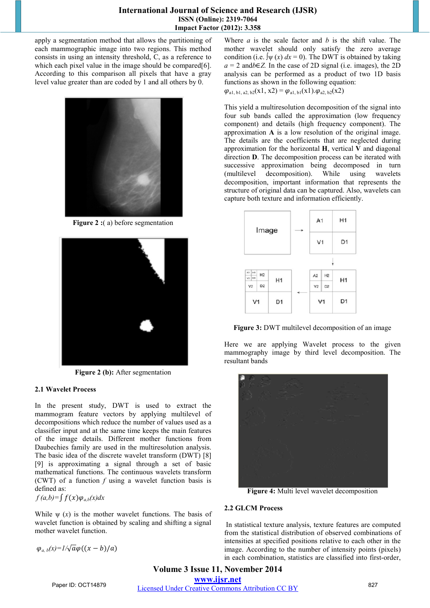apply a segmentation method that allows the partitioning of each mammographic image into two regions. This method consists in using an intensity threshold, C, as a reference to which each pixel value in the image should be compared[6]. According to this comparison all pixels that have a gray level value greater than are coded by 1 and all others by 0.



**Figure 2 :**(a) before segmentation



**Figure 2 (b):** After segmentation

## **2.1 Wavelet Process**

In the present study, DWT is used to extract the mammogram feature vectors by applying multilevel of decompositions which reduce the number of values used as a classifier input and at the same time keeps the main features of the image details. Different mother functions from Daubechies family are used in the multiresolution analysis. The basic idea of the discrete wavelet transform (DWT) [8] [9] is approximating a signal through a set of basic mathematical functions. The continuous wavelets transform (CWT) of a function *f* using a wavelet function basis is defined as:

 $f(a,b)=\int f(x)\varphi_{a,b}(x)dx$ 

While  $\psi(x)$  is the mother wavelet functions. The basis of wavelet function is obtained by scaling and shifting a signal mother wavelet function.

 $\varphi_{a,b}(x)=1/\sqrt{a}\varphi((x-b)/a)$ 

Where *a* is the scale factor and *b* is the shift value. The mother wavelet should only satisfy the zero average condition (i.e.  $\int \psi(x) dx = 0$ ). The DWT is obtained by taking  $a = 2$  and *b*∈*Z*. In the case of 2D signal (i.e. images), the 2D analysis can be performed as a product of two 1D basis functions as shown in the following equation:

 $\varphi_{a1, b1, a2, b2}(x1, x2) = \varphi_{a1, b1}(x1) \cdot \varphi_{a2, b2}(x2)$ 

This yield a multiresolution decomposition of the signal into four sub bands called the approximation (low frequency component) and details (high frequency component). The approximation **A** is a low resolution of the original image. The details are the coefficients that are neglected during approximation for the horizontal **H**, vertical **V** and diagonal direction **D**. The decomposition process can be iterated with successive approximation being decomposed in turn (multilevel decomposition). While using wavelets decomposition, important information that represents the structure of original data can be captured. Also, wavelets can capture both texture and information efficiently.



**Figure 3:** DWT multilevel decomposition of an image

Here we are applying Wavelet process to the given mammography image by third level decomposition. The resultant bands



**Figure 4:** Multi level wavelet decomposition

## **2.2 GLCM Process**

 In statistical texture analysis, texture features are computed from the statistical distribution of observed combinations of intensities at specified positions relative to each other in the image. According to the number of intensity points (pixels) in each combination, statistics are classified into first-order,

**Volume 3 Issue 11, November 2014 www.ijsr.net** Paper ID: OCT14879 *Licensed Under Creative Commons Attribution CC BY* 827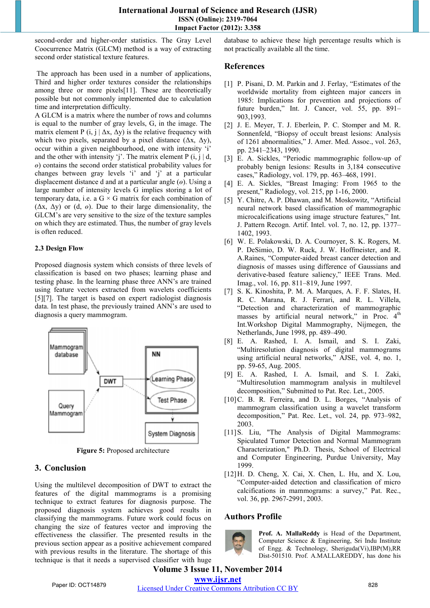second-order and higher-order statistics. The Gray Level Coocurrence Matrix (GLCM) method is a way of extracting second order statistical texture features.

 The approach has been used in a number of applications, Third and higher order textures consider the relationships among three or more pixels[11]. These are theoretically possible but not commonly implemented due to calculation time and interpretation difficulty.

A GLCM is a matrix where the number of rows and columns is equal to the number of gray levels, G, in the image. The matrix element P (i, j |  $\Delta$ x,  $\Delta$ y) is the relative frequency with which two pixels, separated by a pixel distance  $(\Delta x, \Delta y)$ , occur within a given neighbourhood, one with intensity 'i' and the other with intensity 'j'. The matrix element P  $(i, j \mid d)$ , *ө*) contains the second order statistical probability values for changes between gray levels 'i' and 'j' at a particular displacement distance d and at a particular angle (*ө*). Using a large number of intensity levels G implies storing a lot of temporary data, i.e. a  $G \times G$  matrix for each combination of (Δx, Δy) or (d, *ө*). Due to their large dimensionality, the GLCM's are very sensitive to the size of the texture samples on which they are estimated. Thus, the number of gray levels is often reduced.

#### **2.3 Design Flow**

Proposed diagnosis system which consists of three levels of classification is based on two phases; learning phase and testing phase. In the learning phase three ANN's are trained using feature vectors extracted from wavelets coefficients [5][7]. The target is based on expert radiologist diagnosis data. In test phase, the previously trained ANN's are used to diagnosis a query mammogram.



**Figure 5: Proposed architecture** 

# **3. Conclusion**

Using the multilevel decomposition of DWT to extract the features of the digital mammograms is a promising technique to extract features for diagnosis purpose. The proposed diagnosis system achieves good results in classifying the mammograms. Future work could focus on changing the size of features vector and improving the effectiveness the classifier. The presented results in the previous section appear as a positive achievement compared with previous results in the literature. The shortage of this technique is that it needs a supervised classifier with huge database to achieve these high percentage results which is not practically available all the time.

## **References**

- [1] P. Pisani, D. M. Parkin and J. Ferlay, "Estimates of the worldwide mortality from eighteen major cancers in 1985: Implications for prevention and projections of future burden," Int. J. Cancer, vol. 55, pp. 891– 903,1993.
- [2] J. E. Meyer, T. J. Eberlein, P. C. Stomper and M. R. Sonnenfeld, "Biopsy of occult breast lesions: Analysis of 1261 abnormalities," J. Amer. Med. Assoc., vol. 263, pp. 2341–2343, 1990.
- [3] E. A. Sickles, "Periodic mammographic follow-up of probably benign lesions: Results in 3,184 consecutive cases," Radiology, vol. 179, pp. 463–468, 1991.
- [4] E. A. Sickles, "Breast Imaging: From 1965 to the present," Radiology, vol. 215, pp 1-16, 2000.
- [5] Y. Chitre, A. P. Dhawan, and M. Moskowitz, "Artificial neural network based classification of mammographic microcalcifications using image structure features," Int. J. Pattern Recogn. Artif. Intel. vol. 7, no. 12, pp. 1377– 1402, 1993.
- [6] W. E. Polakowski, D. A. Cournoyer, S. K. Rogers, M. P. DeSimio, D. W. Ruck, J. W. Hoffmeister, and R. A.Raines, "Computer-aided breast cancer detection and diagnosis of masses using difference of Gaussians and derivative-based feature saliency," IEEE Trans. Med. Imag., vol. 16, pp. 811–819, June 1997.
- [7] S. K. Kinoshita, P. M. A. Marques, A. F. F. Slates, H. R. C. Marana, R. J. Ferrari, and R. L. Villela, "Detection and characterization of mammographic masses by artificial neural network," in Proc. 4<sup>th</sup> Int.Workshop Digital Mammography, Nijmegen, the Netherlands, June 1998, pp. 489–490.
- [8] E. A. Rashed, I. A. Ismail, and S. I. Zaki, "Multiresolution diagnosis of digital mammograms using artificial neural networks," AJSE, vol. 4, no. 1, pp. 59-65, Aug. 2005.
- [9] E. A. Rashed, I. A. Ismail, and S. I. Zaki, "Multiresolution mammogram analysis in multilevel decomposition," Submitted to Pat. Rec. Let., 2005.
- [10] C. B. R. Ferreira, and D. L. Borges, "Analysis of mammogram classification using a wavelet transform decomposition," Pat. Rec. Let., vol. 24, pp. 973–982, 2003.
- [11]S. Liu, "The Analysis of Digital Mammograms: Spiculated Tumor Detection and Normal Mammogram Characterization," Ph.D. Thesis, School of Electrical and Computer Engineering, Purdue University, May 1999.
- [12]H. D. Cheng, X. Cai, X. Chen, L. Hu, and X. Lou, "Computer-aided detection and classification of micro calcifications in mammograms: a survey," Pat. Rec., vol. 36, pp. 2967-2991, 2003.

# **Authors Profile**



**Prof. A. MallaReddy** is Head of the Department, Computer Science & Engineering, Sri Indu Institute of Engg. & Technology, Sheriguda(Vi),IBP(M),RR Dist-501510. Prof. A.MALLAREDDY, has done his

# **Volume 3 Issue 11, November 2014 www.ijsr.net**

Paper ID: OCT14879 *Licensed Under Creative Commons Attribution CC BY* 828